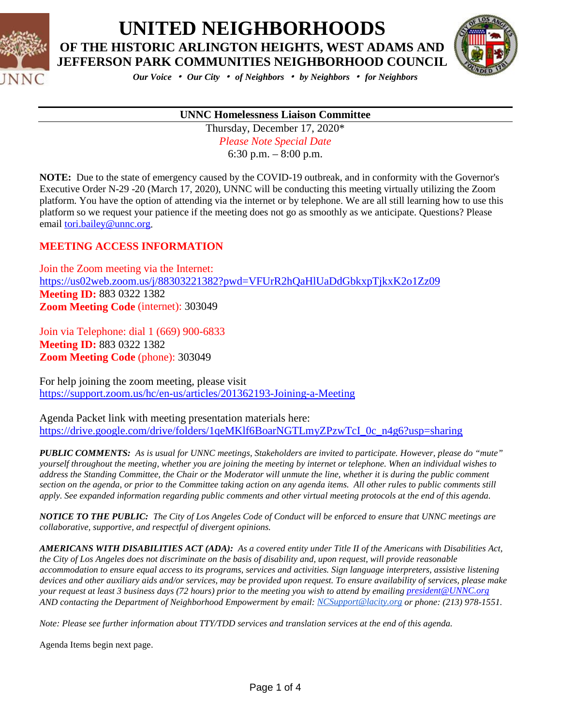



*Our Voice* • *Our City* • *of Neighbors* • *by Neighbors* • *for Neighbors*

# **UNNC Homelessness Liaison Committee**Thursday, December 17, 2020\*

*Please Note Special Date* 6:30 p.m. – 8:00 p.m.

**NOTE:** Due to the state of emergency caused by the COVID-19 outbreak, and in conformity with the Governor's Executive Order N-29 -20 (March 17, 2020), UNNC will be conducting this meeting virtually utilizing the Zoom platform. You have the option of attending via the internet or by telephone. We are all still learning how to use this platform so we request your patience if the meeting does not go as smoothly as we anticipate. Questions? Please email [tori.bailey@unnc.org.](mailto:tori.bailey@unnc.org)

#### **MEETING ACCESS INFORMATION**

Join the Zoom meeting via the Internet: <https://us02web.zoom.us/j/88303221382?pwd=VFUrR2hQaHlUaDdGbkxpTjkxK2o1Zz09> **Meeting ID:** 883 0322 1382 **Zoom Meeting Code** (internet): 303049

Join via Telephone: dial 1 (669) 900-6833 **Meeting ID:** 883 0322 1382 **Zoom Meeting Code** (phone): 303049

For help joining the zoom meeting, please visit <https://support.zoom.us/hc/en-us/articles/201362193-Joining-a-Meeting>

Agenda Packet link with meeting presentation materials here: [https://drive.google.com/drive/folders/1qeMKlf6BoarNGTLmyZPzwTcI\\_0c\\_n4g6?usp=sharing](https://drive.google.com/drive/folders/1qeMKlf6BoarNGTLmyZPzwTcI_0c_n4g6?usp=sharing)

*PUBLIC COMMENTS: As is usual for UNNC meetings, Stakeholders are invited to participate. However, please do "mute" yourself throughout the meeting, whether you are joining the meeting by internet or telephone. When an individual wishes to address the Standing Committee, the Chair or the Moderator will unmute the line, whether it is during the public comment section on the agenda, or prior to the Committee taking action on any agenda items. All other rules to public comments still apply. See expanded information regarding public comments and other virtual meeting protocols at the end of this agenda.*

*NOTICE TO THE PUBLIC: The City of Los Angeles Code of Conduct will be enforced to ensure that UNNC meetings are collaborative, supportive, and respectful of divergent opinions.* 

*AMERICANS WITH DISABILITIES ACT (ADA): As a covered entity under Title II of the Americans with Disabilities Act, the City of Los Angeles does not discriminate on the basis of disability and, upon request, will provide reasonable accommodation to ensure equal access to its programs, services and activities. Sign language interpreters, assistive listening devices and other auxiliary aids and/or services, may be provided upon request. To ensure availability of services, please make your request at least 3 business days (72 hours) prior to the meeting you wish to attend by emailing [president@UNNC.org](mailto:president@UNNC.org)  AND contacting the Department of Neighborhood Empowerment by email: [NCSupport@lacity.org](mailto:NCSupport@lacity.org) or phone: (213) 978-1551.*

*Note: Please see further information about TTY/TDD services and translation services at the end of this agenda.*

Agenda Items begin next page.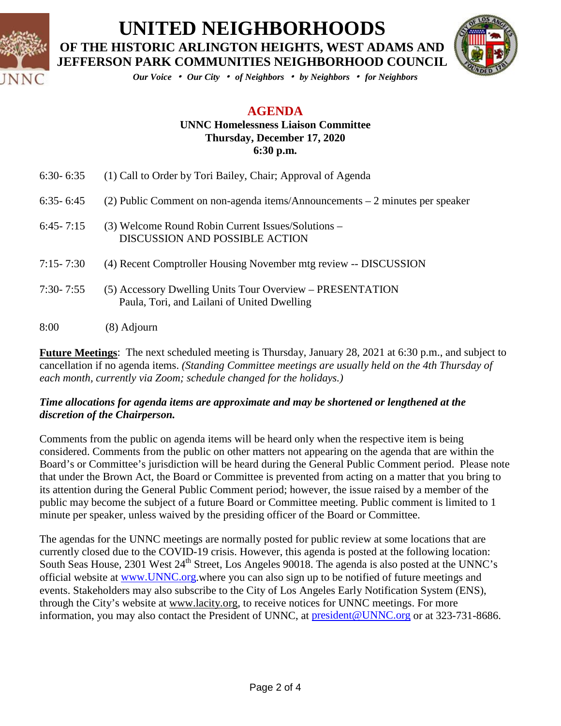



*Our Voice* • *Our City* • *of Neighbors* • *by Neighbors* • *for Neighbors*

### **AGENDA**

#### **UNNC Homelessness Liaison Committee Thursday, December 17, 2020 6:30 p.m.**

| 8:00          | (8) Adjourn                                                                                              |
|---------------|----------------------------------------------------------------------------------------------------------|
| $7:30 - 7:55$ | (5) Accessory Dwelling Units Tour Overview – PRESENTATION<br>Paula, Tori, and Lailani of United Dwelling |
| $7:15 - 7:30$ | (4) Recent Comptroller Housing November mtg review -- DISCUSSION                                         |
| $6:45 - 7:15$ | (3) Welcome Round Robin Current Issues/Solutions –<br>DISCUSSION AND POSSIBLE ACTION                     |
| $6:35 - 6:45$ | (2) Public Comment on non-agenda items/Announcements $-2$ minutes per speaker                            |
| $6:30 - 6:35$ | (1) Call to Order by Tori Bailey, Chair; Approval of Agenda                                              |

**Future Meetings**: The next scheduled meeting is Thursday, January 28, 2021 at 6:30 p.m., and subject to cancellation if no agenda items. *(Standing Committee meetings are usually held on the 4th Thursday of each month, currently via Zoom; schedule changed for the holidays.)*

#### *Time allocations for agenda items are approximate and may be shortened or lengthened at the discretion of the Chairperson.*

Comments from the public on agenda items will be heard only when the respective item is being considered. Comments from the public on other matters not appearing on the agenda that are within the Board's or Committee's jurisdiction will be heard during the General Public Comment period. Please note that under the Brown Act, the Board or Committee is prevented from acting on a matter that you bring to its attention during the General Public Comment period; however, the issue raised by a member of the public may become the subject of a future Board or Committee meeting. Public comment is limited to 1 minute per speaker, unless waived by the presiding officer of the Board or Committee.

The agendas for the UNNC meetings are normally posted for public review at some locations that are currently closed due to the COVID-19 crisis. However, this agenda is posted at the following location: South Seas House, 2301 West 24<sup>th</sup> Street, Los Angeles 90018. The agenda is also posted at the UNNC's official website at [www.UNNC.org.](http://www.unnc.org/)where you can also sign up to be notified of future meetings and events. Stakeholders may also subscribe to the City of Los Angeles Early Notification System (ENS), through the City's website at www.lacity.org, to receive notices for UNNC meetings. For more information, you may also contact the President of UNNC, at [president@UNNC.org](mailto:president@UNNC.org) or at 323-731-8686.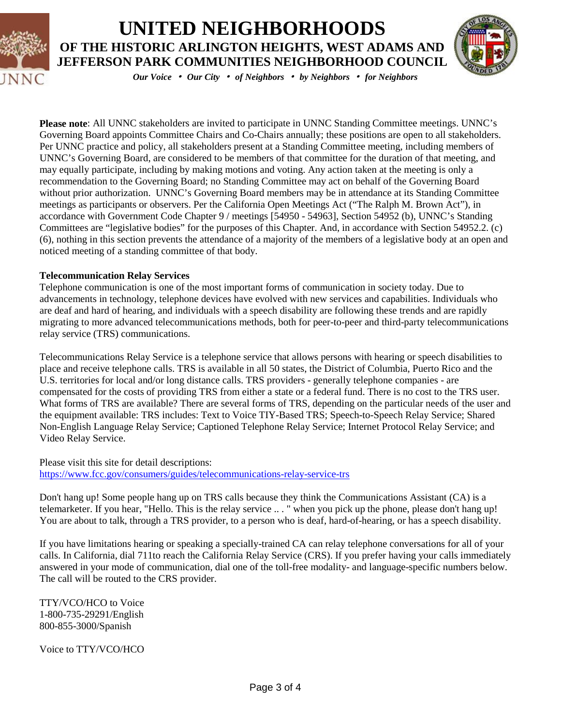



*Our Voice* • *Our City* • *of Neighbors* • *by Neighbors* • *for Neighbors*

**Please note**: All UNNC stakeholders are invited to participate in UNNC Standing Committee meetings. UNNC's Governing Board appoints Committee Chairs and Co-Chairs annually; these positions are open to all stakeholders. Per UNNC practice and policy, all stakeholders present at a Standing Committee meeting, including members of UNNC's Governing Board, are considered to be members of that committee for the duration of that meeting, and may equally participate, including by making motions and voting. Any action taken at the meeting is only a recommendation to the Governing Board; no Standing Committee may act on behalf of the Governing Board without prior authorization. UNNC's Governing Board members may be in attendance at its Standing Committee meetings as participants or observers. Per the California Open Meetings Act ("The Ralph M. Brown Act"), in accordance with Government Code Chapter 9 / meetings [54950 - 54963], Section 54952 (b), UNNC's Standing Committees are "legislative bodies" for the purposes of this Chapter. And, in accordance with Section 54952.2. (c) (6), nothing in this section prevents the attendance of a majority of the members of a legislative body at an open and noticed meeting of a standing committee of that body.

#### **Telecommunication Relay Services**

Telephone communication is one of the most important forms of communication in society today. Due to advancements in technology, telephone devices have evolved with new services and capabilities. Individuals who are deaf and hard of hearing, and individuals with a speech disability are following these trends and are rapidly migrating to more advanced telecommunications methods, both for peer-to-peer and third-party telecommunications relay service (TRS) communications.

Telecommunications Relay Service is a telephone service that allows persons with hearing or speech disabilities to place and receive telephone calls. TRS is available in all 50 states, the District of Columbia, Puerto Rico and the U.S. territories for local and/or long distance calls. TRS providers - generally telephone companies - are compensated for the costs of providing TRS from either a state or a federal fund. There is no cost to the TRS user. What forms of TRS are available? There are several forms of TRS, depending on the particular needs of the user and the equipment available: TRS includes: Text to Voice TIY-Based TRS; Speech-to-Speech Relay Service; Shared Non-English Language Relay Service; Captioned Telephone Relay Service; Internet Protocol Relay Service; and Video Relay Service.

Please visit this site for detail descriptions: <https://www.fcc.gov/consumers/guides/telecommunications-relay-service-trs>

Don't hang up! Some people hang up on TRS calls because they think the Communications Assistant (CA) is a telemarketer. If you hear, "Hello. This is the relay service .. . " when you pick up the phone, please don't hang up! You are about to talk, through a TRS provider, to a person who is deaf, hard-of-hearing, or has a speech disability.

If you have limitations hearing or speaking a specially-trained CA can relay telephone conversations for all of your calls. In California, dial 711to reach the California Relay Service (CRS). If you prefer having your calls immediately answered in your mode of communication, dial one of the toll-free modality- and language-specific numbers below. The call will be routed to the CRS provider.

TTY/VCO/HCO to Voice 1-800-735-29291/English 800-855-3000/Spanish

Voice to TTY/VCO/HCO